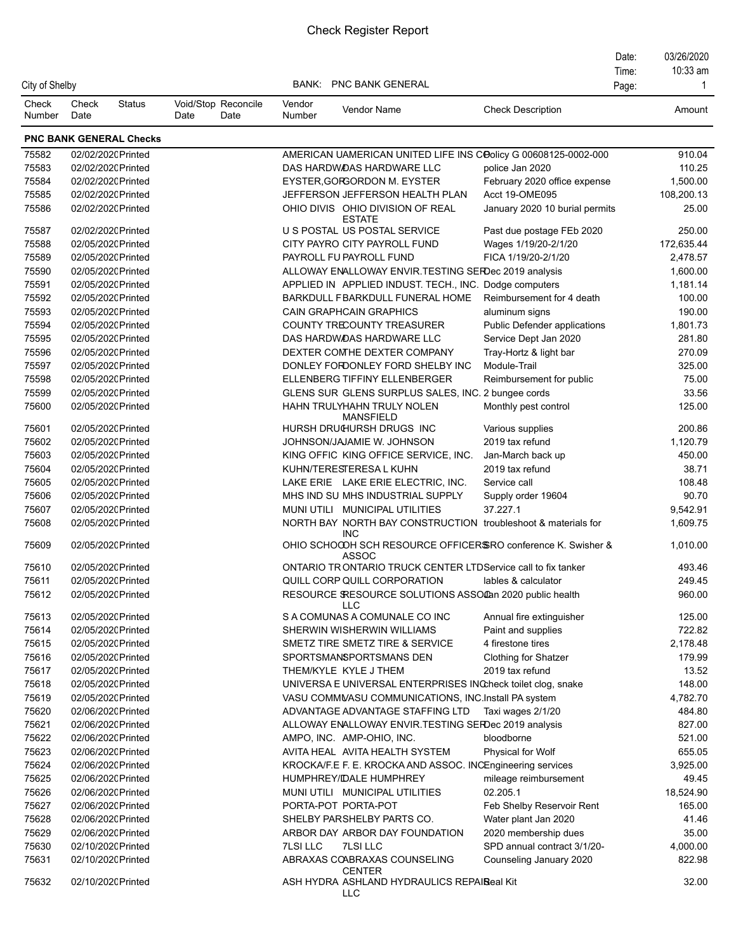|                 |               |                                          |                                     |                  |                                                                                                        |                                | Date: | 03/26/2020       |
|-----------------|---------------|------------------------------------------|-------------------------------------|------------------|--------------------------------------------------------------------------------------------------------|--------------------------------|-------|------------------|
|                 |               |                                          |                                     |                  |                                                                                                        |                                | Time: | 10:33 am         |
| City of Shelby  |               |                                          |                                     | BANK:            | <b>PNC BANK GENERAL</b>                                                                                |                                | Page: | -1               |
| Check<br>Number | Check<br>Date | <b>Status</b>                            | Void/Stop Reconcile<br>Date<br>Date | Vendor<br>Number | Vendor Name                                                                                            | <b>Check Description</b>       |       | Amount           |
|                 |               | <b>PNC BANK GENERAL Checks</b>           |                                     |                  |                                                                                                        |                                |       |                  |
| 75582           |               | 02/02/2020 Printed                       |                                     |                  | AMERICAN UAMERICAN UNITED LIFE INS COOlicy G 00608125-0002-000                                         |                                |       | 910.04           |
| 75583           |               | 02/02/2020 Printed                       |                                     |                  | DAS HARDWOAS HARDWARE LLC                                                                              | police Jan 2020                |       | 110.25           |
| 75584           |               | 02/02/2020 Printed                       |                                     |                  | EYSTER, GORGORDON M. EYSTER                                                                            | February 2020 office expense   |       | 1,500.00         |
| 75585           |               | 02/02/2020 Printed                       |                                     |                  | JEFFERSON JEFFERSON HEALTH PLAN                                                                        | Acct 19-OME095                 |       | 108,200.13       |
| 75586           |               | 02/02/2020 Printed                       |                                     |                  | OHIO DIVIS OHIO DIVISION OF REAL<br>ESTATE                                                             | January 2020 10 burial permits |       | 25.00            |
| 75587           |               | 02/02/2020 Printed                       |                                     |                  | U S POSTAL US POSTAL SERVICE                                                                           | Past due postage FEb 2020      |       | 250.00           |
| 75588           |               | 02/05/2020 Printed                       |                                     |                  | CITY PAYRO CITY PAYROLL FUND                                                                           | Wages 1/19/20-2/1/20           |       | 172,635.44       |
| 75589           |               | 02/05/2020 Printed                       |                                     |                  | PAYROLL FU PAYROLL FUND                                                                                | FICA 1/19/20-2/1/20            |       | 2,478.57         |
| 75590           |               | 02/05/2020 Printed                       |                                     |                  | ALLOWAY ENALLOWAY ENVIR.TESTING SERDec 2019 analysis                                                   |                                |       | 1,600.00         |
| 75591           |               | 02/05/2020 Printed                       |                                     |                  | APPLIED IN APPLIED INDUST. TECH., INC. Dodge computers                                                 |                                |       | 1,181.14         |
| 75592           |               | 02/05/2020 Printed                       |                                     |                  | BARKDULL FBARKDULL FUNERAL HOME                                                                        | Reimbursement for 4 death      |       | 100.00           |
| 75593           |               | 02/05/2020 Printed                       |                                     |                  | <b>CAIN GRAPHCAIN GRAPHICS</b>                                                                         | aluminum signs                 |       | 190.00           |
| 75594           |               | 02/05/2020 Printed                       |                                     |                  | COUNTY TRECOUNTY TREASURER                                                                             | Public Defender applications   |       | 1,801.73         |
| 75595           |               | 02/05/2020 Printed                       |                                     |                  | DAS HARDWOAS HARDWARE LLC                                                                              | Service Dept Jan 2020          |       | 281.80           |
| 75596           |               | 02/05/2020 Printed                       |                                     |                  | DEXTER COMHE DEXTER COMPANY                                                                            | Tray-Hortz & light bar         |       | 270.09           |
| 75597           |               | 02/05/2020 Printed                       |                                     |                  | DONLEY FORDONLEY FORD SHELBY INC                                                                       | Module-Trail                   |       | 325.00           |
| 75598           |               | 02/05/2020 Printed                       |                                     |                  | ELLENBERG TIFFINY ELLENBERGER                                                                          | Reimbursement for public       |       | 75.00            |
| 75599           |               | 02/05/2020 Printed                       |                                     |                  | GLENS SUR GLENS SURPLUS SALES, INC. 2 bungee cords                                                     |                                |       | 33.56            |
| 75600           |               | 02/05/2020 Printed                       |                                     |                  | HAHN TRULYHAHN TRULY NOLEN<br><b>MANSFIELD</b>                                                         | Monthly pest control           |       | 125.00           |
| 75601           |               | 02/05/2020 Printed                       |                                     |                  | HURSH DRUGURSH DRUGS INC                                                                               | Various supplies               |       | 200.86           |
| 75602           |               | 02/05/2020 Printed                       |                                     |                  | JOHNSON/JAJAMIE W. JOHNSON                                                                             | 2019 tax refund                |       | 1,120.79         |
| 75603           |               | 02/05/2020 Printed                       |                                     |                  | KING OFFIC KING OFFICE SERVICE, INC.                                                                   | Jan-March back up              |       | 450.00           |
| 75604           |               | 02/05/2020 Printed                       |                                     |                  | KUHN/TERESTERESA L KUHN                                                                                | 2019 tax refund                |       | 38.71            |
| 75605           |               | 02/05/2020 Printed                       |                                     |                  | LAKE ERIE LAKE ERIE ELECTRIC, INC.                                                                     | Service call                   |       | 108.48           |
| 75606           |               | 02/05/2020 Printed                       |                                     |                  | MHS IND SU MHS INDUSTRIAL SUPPLY                                                                       | Supply order 19604             |       | 90.70            |
| 75607           |               | 02/05/2020 Printed                       |                                     |                  | MUNI UTILI MUNICIPAL UTILITIES                                                                         | 37.227.1                       |       | 9,542.91         |
| 75608           |               | 02/05/2020 Printed                       |                                     |                  | NORTH BAY NORTH BAY CONSTRUCTION troubleshoot & materials for<br><b>INC</b>                            |                                |       | 1,609.75         |
| 75609           |               | 02/05/2020 Printed                       |                                     |                  | OHIO SCHOCOH SCH RESOURCE OFFICERSRO conference K. Swisher &<br><b>ASSOC</b>                           |                                |       | 1,010.00         |
| 75610           |               | 02/05/2020 Printed                       |                                     |                  | ONTARIO TRONTARIO TRUCK CENTER LTDService call to fix tanker                                           |                                |       | 493.46           |
| 75611           |               | 02/05/2020 Printed                       |                                     |                  | QUILL CORP QUILL CORPORATION                                                                           | lables & calculator            |       | 249.45           |
| 75612<br>75613  |               | 02/05/2020 Printed<br>02/05/2020 Printed |                                     |                  | RESOURCE SRESOURCE SOLUTIONS ASSOCan 2020 public health<br><b>LLC</b><br>S A COMUNAS A COMUNALE CO INC | Annual fire extinguisher       |       | 960.00<br>125.00 |
| 75614           |               | 02/05/2020 Printed                       |                                     |                  | SHERWIN WISHERWIN WILLIAMS                                                                             | Paint and supplies             |       | 722.82           |
| 75615           |               | 02/05/2020 Printed                       |                                     |                  | SMETZ TIRE SMETZ TIRE & SERVICE                                                                        | 4 firestone tires              |       | 2,178.48         |
| 75616           |               | 02/05/2020 Printed                       |                                     |                  | SPORTSMANSPORTSMANS DEN                                                                                | <b>Clothing for Shatzer</b>    |       | 179.99           |
| 75617           |               | 02/05/2020 Printed                       |                                     |                  | THEM/KYLE KYLE J THEM                                                                                  | 2019 tax refund                |       | 13.52            |
| 75618           |               | 02/05/2020 Printed                       |                                     |                  | UNIVERSA E UNIVERSAL ENTERPRISES INCheck toilet clog, snake                                            |                                |       | 148.00           |
| 75619           |               | 02/05/2020 Printed                       |                                     |                  | VASU COMMVASU COMMUNICATIONS, INC.Install PA system                                                    |                                |       | 4,782.70         |
| 75620           |               | 02/06/2020 Printed                       |                                     |                  | ADVANTAGE ADVANTAGE STAFFING LTD                                                                       | Taxi wages 2/1/20              |       | 484.80           |
| 75621           |               | 02/06/2020 Printed                       |                                     |                  | ALLOWAY ENALLOWAY ENVIR. TESTING SERDec 2019 analysis                                                  |                                |       | 827.00           |
| 75622           |               | 02/06/2020 Printed                       |                                     |                  | AMPO, INC. AMP-OHIO, INC.                                                                              | bloodborne                     |       | 521.00           |
| 75623           |               | 02/06/2020 Printed                       |                                     |                  | AVITA HEAL AVITA HEALTH SYSTEM                                                                         | Physical for Wolf              |       | 655.05           |
| 75624           |               | 02/06/2020 Printed                       |                                     |                  | KROCKA/F.E F. E. KROCKA AND ASSOC. INCEngineering services                                             |                                |       | 3,925.00         |
| 75625           |               | 02/06/2020 Printed                       |                                     |                  | HUMPHREY/IDALE HUMPHREY                                                                                | mileage reimbursement          |       | 49.45            |
| 75626           |               | 02/06/2020 Printed                       |                                     |                  | MUNI UTILI MUNICIPAL UTILITIES                                                                         | 02.205.1                       |       | 18,524.90        |
| 75627           |               | 02/06/2020 Printed                       |                                     |                  | PORTA-POT PORTA-POT                                                                                    |                                |       | 165.00           |
|                 |               |                                          |                                     |                  |                                                                                                        | Feb Shelby Reservoir Rent      |       |                  |
| 75628           |               | 02/06/2020 Printed                       |                                     |                  | SHELBY PARSHELBY PARTS CO.                                                                             | Water plant Jan 2020           |       | 41.46            |
| 75629           |               | 02/06/2020 Printed                       |                                     |                  | ARBOR DAY ARBOR DAY FOUNDATION                                                                         | 2020 membership dues           |       | 35.00            |
| 75630           |               | 02/10/2020 Printed                       |                                     | <b>7LSI LLC</b>  | <b>7LSI LLC</b>                                                                                        | SPD annual contract 3/1/20-    |       | 4,000.00         |
| 75631<br>75632  |               | 02/10/2020 Printed<br>02/10/2020 Printed |                                     |                  | ABRAXAS COABRAXAS COUNSELING<br><b>CENTER</b><br>ASH HYDRA ASHLAND HYDRAULICS REPAIReal Kit            | Counseling January 2020        |       | 822.98<br>32.00  |
|                 |               |                                          |                                     |                  |                                                                                                        |                                |       |                  |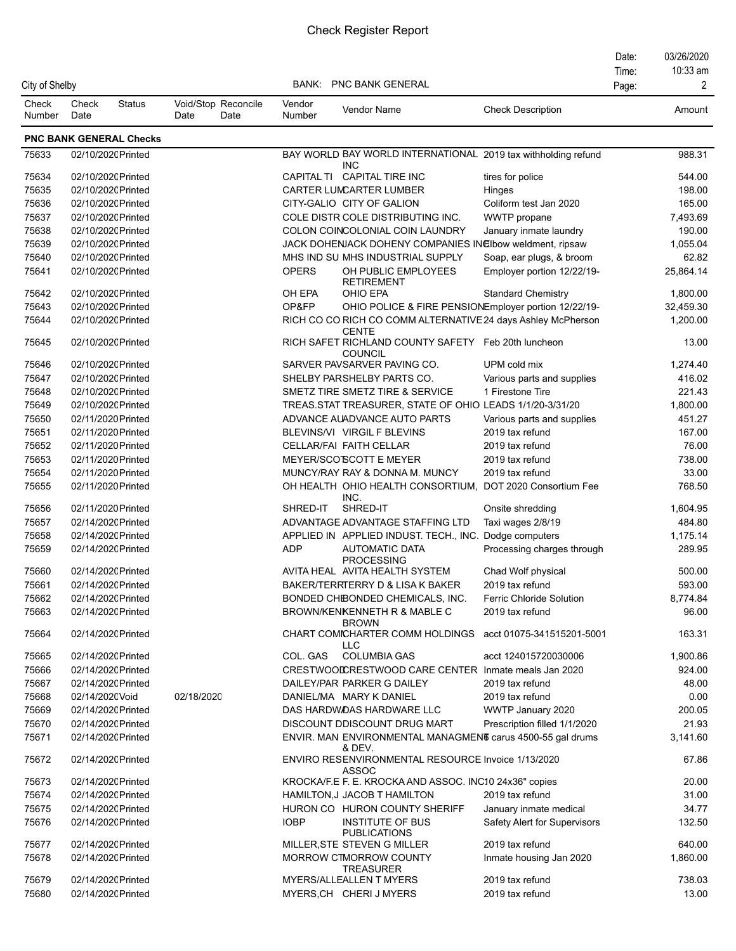| City of Shelby  |                 |                                          |                                     |                  | <b>BANK: PNC BANK GENERAL</b>                                                                        |                                                | Date:<br>Time: | 03/26/2020<br>10:33 am<br>2 |
|-----------------|-----------------|------------------------------------------|-------------------------------------|------------------|------------------------------------------------------------------------------------------------------|------------------------------------------------|----------------|-----------------------------|
|                 |                 |                                          |                                     |                  |                                                                                                      |                                                | Page:          |                             |
| Check<br>Number | Check<br>Date   | <b>Status</b>                            | Void/Stop Reconcile<br>Date<br>Date | Vendor<br>Number | <b>Vendor Name</b>                                                                                   | <b>Check Description</b>                       |                | Amount                      |
|                 |                 | <b>PNC BANK GENERAL Checks</b>           |                                     |                  |                                                                                                      |                                                |                |                             |
| 75633           |                 | 02/10/2020 Printed                       |                                     |                  | BAY WORLD BAY WORLD INTERNATIONAL 2019 tax withholding refund<br><b>INC</b>                          |                                                |                | 988.31                      |
| 75634           |                 | 02/10/2020 Printed                       |                                     |                  | CAPITAL TI CAPITAL TIRE INC                                                                          | tires for police                               |                | 544.00                      |
| 75635           |                 | 02/10/2020 Printed                       |                                     |                  | CARTER LUMCARTER LUMBER                                                                              | Hinges                                         |                | 198.00                      |
| 75636           |                 | 02/10/2020 Printed                       |                                     |                  | CITY-GALIO CITY OF GALION                                                                            | Coliform test Jan 2020                         |                | 165.00                      |
| 75637           |                 | 02/10/2020 Printed                       |                                     |                  | COLE DISTR COLE DISTRIBUTING INC.                                                                    | WWTP propane                                   |                | 7,493.69                    |
| 75638           |                 | 02/10/2020 Printed                       |                                     |                  | COLON COINCOLONIAL COIN LAUNDRY                                                                      | January inmate laundry                         |                | 190.00                      |
| 75639           |                 | 02/10/2020 Printed                       |                                     |                  | JACK DOHENJACK DOHENY COMPANIES IN Elbow weldment, ripsaw                                            |                                                |                | 1,055.04                    |
| 75640           |                 | 02/10/2020 Printed                       |                                     |                  | MHS IND SU MHS INDUSTRIAL SUPPLY                                                                     | Soap, ear plugs, & broom                       |                | 62.82                       |
| 75641           |                 | 02/10/2020 Printed                       |                                     | <b>OPERS</b>     | OH PUBLIC EMPLOYEES<br><b>RETIREMENT</b>                                                             | Employer portion 12/22/19-                     |                | 25,864.14                   |
| 75642           |                 | 02/10/2020 Printed                       |                                     | OH EPA           | OHIO EPA                                                                                             | <b>Standard Chemistry</b>                      |                | 1,800.00                    |
| 75643           |                 | 02/10/2020 Printed                       |                                     | OP&FP            | OHIO POLICE & FIRE PENSIONEmployer portion 12/22/19-                                                 |                                                |                | 32,459.30                   |
| 75644           |                 | 02/10/2020 Printed                       |                                     |                  | RICH CO CO RICH CO COMM ALTERNATIVE 24 days Ashley McPherson<br><b>CENTE</b>                         |                                                |                | 1,200.00                    |
| 75645<br>75646  |                 | 02/10/2020 Printed                       |                                     |                  | RICH SAFET RICHLAND COUNTY SAFETY Feb 20th luncheon<br><b>COUNCIL</b><br>SARVER PAVSARVER PAVING CO. |                                                |                | 13.00<br>1,274.40           |
|                 |                 | 02/10/2020 Printed                       |                                     |                  |                                                                                                      | UPM cold mix                                   |                |                             |
| 75647<br>75648  |                 | 02/10/2020 Printed<br>02/10/2020 Printed |                                     |                  | SHELBY PARSHELBY PARTS CO.<br>SMETZ TIRE SMETZ TIRE & SERVICE                                        | Various parts and supplies<br>1 Firestone Tire |                | 416.02<br>221.43            |
| 75649           |                 | 02/10/2020 Printed                       |                                     |                  | TREAS.STAT TREASURER, STATE OF OHIO LEADS 1/1/20-3/31/20                                             |                                                |                | 1,800.00                    |
| 75650           |                 | 02/11/2020 Printed                       |                                     |                  | ADVANCE AUADVANCE AUTO PARTS                                                                         | Various parts and supplies                     |                | 451.27                      |
| 75651           |                 | 02/11/2020 Printed                       |                                     |                  | BLEVINS/VI VIRGIL F BLEVINS                                                                          | 2019 tax refund                                |                | 167.00                      |
| 75652           |                 | 02/11/2020 Printed                       |                                     |                  | CELLAR/FAI FAITH CELLAR                                                                              | 2019 tax refund                                |                | 76.00                       |
| 75653           |                 | 02/11/2020 Printed                       |                                     |                  | MEYER/SCO'SCOTT E MEYER                                                                              | 2019 tax refund                                |                | 738.00                      |
| 75654           |                 | 02/11/2020 Printed                       |                                     |                  | MUNCY/RAY RAY & DONNA M. MUNCY                                                                       | 2019 tax refund                                |                | 33.00                       |
| 75655           |                 | 02/11/2020 Printed                       |                                     |                  | OH HEALTH OHIO HEALTH CONSORTIUM,<br>INC.                                                            | DOT 2020 Consortium Fee                        |                | 768.50                      |
| 75656           |                 | 02/11/2020 Printed                       |                                     | SHRED-IT         | SHRED-IT                                                                                             | Onsite shredding                               |                | 1,604.95                    |
| 75657           |                 | 02/14/2020 Printed                       |                                     |                  | ADVANTAGE ADVANTAGE STAFFING LTD                                                                     | Taxi wages 2/8/19                              |                | 484.80                      |
| 75658           |                 | 02/14/2020 Printed                       |                                     |                  | APPLIED IN APPLIED INDUST. TECH., INC.                                                               | Dodge computers                                |                | 1,175.14                    |
| 75659           |                 | 02/14/2020 Printed                       |                                     | <b>ADP</b>       | <b>AUTOMATIC DATA</b><br><b>PROCESSING</b>                                                           | Processing charges through                     |                | 289.95                      |
| 75660           |                 | 02/14/2020 Printed                       |                                     |                  | AVITA HEAL AVITA HEALTH SYSTEM                                                                       | Chad Wolf physical                             |                | 500.00                      |
| 75661           |                 | 02/14/2020 Printed                       |                                     |                  | BAKER/TERRTERRY D & LISA K BAKER                                                                     | 2019 tax refund                                |                | 593.00                      |
| 75662           |                 | 02/14/2020 Printed                       |                                     |                  | BONDED CHIBONDED CHEMICALS, INC.                                                                     | <b>Ferric Chloride Solution</b>                |                | 8,774.84                    |
| 75663           |                 | 02/14/2020 Printed                       |                                     |                  | BROWN/KENKENNETH R & MABLE C<br><b>BROWN</b>                                                         | 2019 tax refund                                |                | 96.00                       |
| 75664           |                 | 02/14/2020 Printed<br>02/14/2020 Printed |                                     |                  | CHART COMICHARTER COMM HOLDINGS<br>LLC                                                               | acct 01075-341515201-5001                      |                | 163.31                      |
| 75665<br>75666  |                 | 02/14/2020 Printed                       |                                     | COL. GAS         | <b>COLUMBIA GAS</b><br>CRESTWOOLCRESTWOOD CARE CENTER Inmate meals Jan 2020                          | acct 124015720030006                           |                | 1,900.86<br>924.00          |
| 75667           |                 | 02/14/2020 Printed                       |                                     |                  | DAILEY/PAR PARKER G DAILEY                                                                           | 2019 tax refund                                |                | 48.00                       |
| 75668           | 02/14/2020 Void |                                          | 02/18/2020                          |                  | DANIEL/MA MARY K DANIEL                                                                              | 2019 tax refund                                |                | 0.00                        |
| 75669           |                 | 02/14/2020 Printed                       |                                     |                  | DAS HARDWOAS HARDWARE LLC                                                                            | WWTP January 2020                              |                | 200.05                      |
| 75670           |                 | 02/14/2020 Printed                       |                                     |                  | DISCOUNT DDISCOUNT DRUG MART                                                                         | Prescription filled 1/1/2020                   |                | 21.93                       |
| 75671           |                 | 02/14/2020 Printed                       |                                     |                  | ENVIR. MAN ENVIRONMENTAL MANAGMENT carus 4500-55 gal drums<br>& DEV.                                 |                                                |                | 3,141.60                    |
| 75672           |                 | 02/14/2020 Printed                       |                                     |                  | ENVIRO RESENVIRONMENTAL RESOURCE Invoice 1/13/2020<br><b>ASSOC</b>                                   |                                                |                | 67.86                       |
| 75673           |                 | 02/14/2020 Printed                       |                                     |                  | KROCKA/F.E F. E. KROCKA AND ASSOC. INC10 24x36" copies                                               |                                                |                | 20.00                       |
| 75674           |                 | 02/14/2020 Printed                       |                                     |                  | HAMILTON, J JACOB T HAMILTON                                                                         | 2019 tax refund                                |                | 31.00                       |
| 75675           |                 | 02/14/2020 Printed                       |                                     |                  | HURON CO HURON COUNTY SHERIFF                                                                        | January inmate medical                         |                | 34.77                       |
| 75676           |                 | 02/14/2020 Printed                       |                                     | <b>IOBP</b>      | INSTITUTE OF BUS<br><b>PUBLICATIONS</b>                                                              | Safety Alert for Supervisors                   |                | 132.50                      |
| 75677           |                 | 02/14/2020 Printed                       |                                     |                  | MILLER, STE STEVEN G MILLER                                                                          | 2019 tax refund                                |                | 640.00                      |
| 75678           |                 | 02/14/2020 Printed                       |                                     |                  | MORROW CTMORROW COUNTY<br><b>TREASURER</b>                                                           | Inmate housing Jan 2020                        |                | 1,860.00                    |
| 75679           |                 | 02/14/2020 Printed                       |                                     |                  | MYERS/ALLEALLEN T MYERS                                                                              | 2019 tax refund                                |                | 738.03                      |
| 75680           |                 | 02/14/2020 Printed                       |                                     |                  | MYERS, CH CHERI J MYERS                                                                              | 2019 tax refund                                |                | 13.00                       |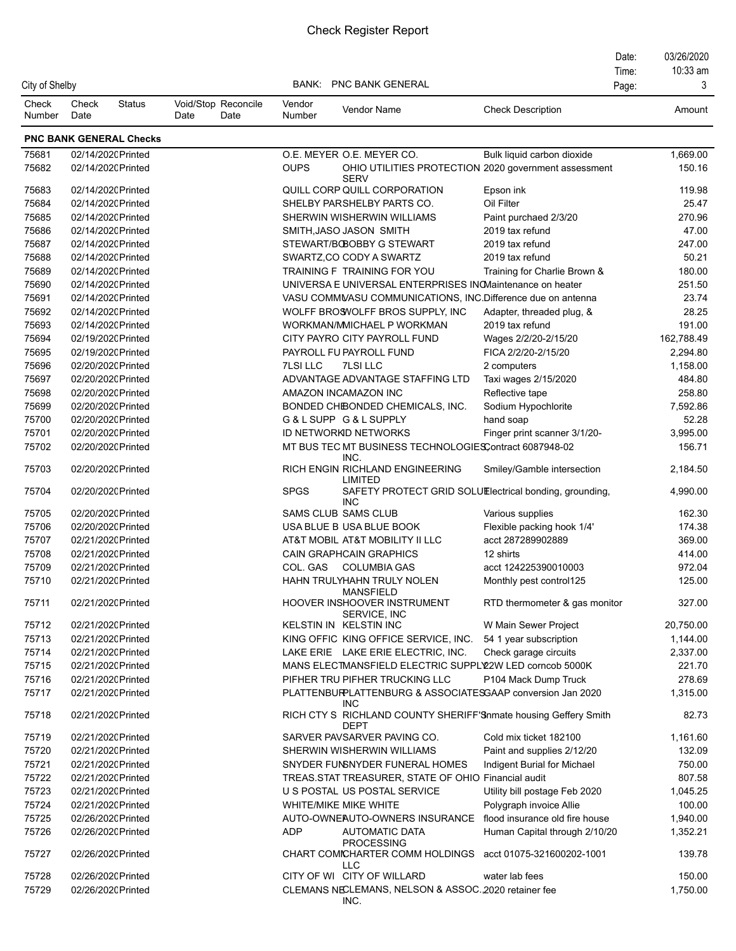|                 |                    |                                |                                     |                  |                                                                                 |                                | Date: | 03/26/2020 |
|-----------------|--------------------|--------------------------------|-------------------------------------|------------------|---------------------------------------------------------------------------------|--------------------------------|-------|------------|
|                 |                    |                                |                                     |                  |                                                                                 |                                | Time: | 10:33 am   |
| City of Shelby  |                    |                                |                                     |                  | <b>BANK: PNC BANK GENERAL</b>                                                   |                                | Page: | 3          |
| Check<br>Number | Check<br>Date      | <b>Status</b>                  | Void/Stop Reconcile<br>Date<br>Date | Vendor<br>Number | Vendor Name                                                                     | <b>Check Description</b>       |       | Amount     |
|                 |                    | <b>PNC BANK GENERAL Checks</b> |                                     |                  |                                                                                 |                                |       |            |
| 75681           | 02/14/2020 Printed |                                |                                     |                  | O.E. MEYER O.E. MEYER CO.                                                       | Bulk liquid carbon dioxide     |       | 1,669.00   |
| 75682           | 02/14/2020 Printed |                                |                                     | <b>OUPS</b>      | OHIO UTILITIES PROTECTION 2020 government assessment                            |                                |       | 150.16     |
| 75683           | 02/14/2020 Printed |                                |                                     |                  | <b>SERV</b><br>QUILL CORP QUILL CORPORATION                                     | Epson ink                      |       | 119.98     |
| 75684           | 02/14/2020 Printed |                                |                                     |                  | SHELBY PARSHELBY PARTS CO.                                                      | Oil Filter                     |       | 25.47      |
| 75685           | 02/14/2020 Printed |                                |                                     |                  | SHERWIN WISHERWIN WILLIAMS                                                      | Paint purchaed 2/3/20          |       | 270.96     |
| 75686           | 02/14/2020 Printed |                                |                                     |                  | SMITH, JASO JASON SMITH                                                         | 2019 tax refund                |       | 47.00      |
| 75687           | 02/14/2020 Printed |                                |                                     |                  | STEWART/BOBOBBY G STEWART                                                       | 2019 tax refund                |       | 247.00     |
| 75688           | 02/14/2020 Printed |                                |                                     |                  | SWARTZ, CO CODY A SWARTZ                                                        | 2019 tax refund                |       | 50.21      |
| 75689           | 02/14/2020 Printed |                                |                                     |                  | TRAINING F TRAINING FOR YOU                                                     | Training for Charlie Brown &   |       | 180.00     |
| 75690           | 02/14/2020 Printed |                                |                                     |                  | UNIVERSA E UNIVERSAL ENTERPRISES INOMaintenance on heater                       |                                |       | 251.50     |
| 75691           | 02/14/2020 Printed |                                |                                     |                  | VASU COMMVASU COMMUNICATIONS, INC.Difference due on antenna                     |                                |       | 23.74      |
| 75692           | 02/14/2020 Printed |                                |                                     |                  | WOLFF BROSVOLFF BROS SUPPLY, INC                                                | Adapter, threaded plug, &      |       | 28.25      |
| 75693           | 02/14/2020 Printed |                                |                                     |                  | WORKMAN/MICHAEL P WORKMAN                                                       | 2019 tax refund                |       | 191.00     |
| 75694           | 02/19/2020 Printed |                                |                                     |                  | CITY PAYRO CITY PAYROLL FUND                                                    | Wages 2/2/20-2/15/20           |       | 162,788.49 |
| 75695           | 02/19/2020 Printed |                                |                                     |                  | PAYROLL FU PAYROLL FUND                                                         | FICA 2/2/20-2/15/20            |       | 2,294.80   |
| 75696           | 02/20/2020 Printed |                                |                                     | <b>7LSILLC</b>   | <b>7LSI LLC</b>                                                                 | 2 computers                    |       | 1,158.00   |
| 75697           | 02/20/2020 Printed |                                |                                     |                  | ADVANTAGE ADVANTAGE STAFFING LTD                                                | Taxi wages 2/15/2020           |       | 484.80     |
| 75698           | 02/20/2020 Printed |                                |                                     |                  | AMAZON INCAMAZON INC                                                            | Reflective tape                |       | 258.80     |
| 75699           | 02/20/2020 Printed |                                |                                     |                  | BONDED CHIBONDED CHEMICALS, INC.                                                | Sodium Hypochlorite            |       | 7,592.86   |
| 75700           | 02/20/2020 Printed |                                |                                     |                  | G&LSUPP G&LSUPPLY                                                               | hand soap                      |       | 52.28      |
| 75701           | 02/20/2020 Printed |                                |                                     |                  | ID NETWORKD NETWORKS                                                            | Finger print scanner 3/1/20-   |       | 3,995.00   |
| 75702           | 02/20/2020 Printed |                                |                                     |                  | MT BUS TEC MT BUSINESS TECHNOLOGIESContract 6087948-02                          |                                |       | 156.71     |
| 75703           | 02/20/2020 Printed |                                |                                     |                  | INC.<br>RICH ENGIN RICHLAND ENGINEERING<br><b>LIMITED</b>                       | Smiley/Gamble intersection     |       | 2,184.50   |
| 75704           | 02/20/2020 Printed |                                |                                     | <b>SPGS</b>      | SAFETY PROTECT GRID SOLUElectrical bonding, grounding,<br><b>INC</b>            |                                |       | 4,990.00   |
| 75705           | 02/20/2020 Printed |                                |                                     |                  | SAMS CLUB SAMS CLUB                                                             | Various supplies               |       | 162.30     |
| 75706           | 02/20/2020 Printed |                                |                                     |                  | USA BLUE B USA BLUE BOOK                                                        | Flexible packing hook 1/4'     |       | 174.38     |
| 75707           | 02/21/2020 Printed |                                |                                     |                  | AT&T MOBIL AT&T MOBILITY II LLC                                                 | acct 287289902889              |       | 369.00     |
| 75708           | 02/21/2020 Printed |                                |                                     |                  | CAIN GRAPHCAIN GRAPHICS                                                         | 12 shirts                      |       | 414.00     |
| 75709           | 02/21/2020 Printed |                                |                                     | COL. GAS         | <b>COLUMBIA GAS</b>                                                             | acct 124225390010003           |       | 972.04     |
| 75710           | 02/21/2020 Printed |                                |                                     |                  | HAHN TRULYHAHN TRULY NOLEN<br><b>MANSFIELD</b>                                  | Monthly pest control125        |       | 125.00     |
| 75711           | 02/21/2020 Printed |                                |                                     |                  | HOOVER INSHOOVER INSTRUMENT<br>SERVICE, INC                                     | RTD thermometer & gas monitor  |       | 327.00     |
| 75712           | 02/21/2020 Printed |                                |                                     |                  | KELSTIN IN KELSTIN INC                                                          | W Main Sewer Project           |       | 20,750.00  |
| 75713           | 02/21/2020 Printed |                                |                                     |                  | KING OFFIC KING OFFICE SERVICE, INC.                                            | 54 1 year subscription         |       | 1,144.00   |
| 75714           | 02/21/2020 Printed |                                |                                     |                  | LAKE ERIE LAKE ERIE ELECTRIC, INC.                                              | Check garage circuits          |       | 2,337.00   |
| 75715           | 02/21/2020 Printed |                                |                                     |                  | MANS ELECTMANSFIELD ELECTRIC SUPPLY2W LED corncob 5000K                         |                                |       | 221.70     |
| 75716           | 02/21/2020 Printed |                                |                                     |                  | PIFHER TRU PIFHER TRUCKING LLC                                                  | P104 Mack Dump Truck           |       | 278.69     |
| 75717           | 02/21/2020 Printed |                                |                                     |                  | PLATTENBURPLATTENBURG & ASSOCIATESGAAP conversion Jan 2020<br><b>INC</b>        |                                |       | 1,315.00   |
| 75718           | 02/21/2020 Printed |                                |                                     |                  | RICH CTY S RICHLAND COUNTY SHERIFF'S nmate housing Geffery Smith<br><b>DEPT</b> |                                |       | 82.73      |
| 75719           | 02/21/2020 Printed |                                |                                     |                  | SARVER PAVSARVER PAVING CO.                                                     | Cold mix ticket 182100         |       | 1,161.60   |
| 75720           | 02/21/2020 Printed |                                |                                     |                  | SHERWIN WISHERWIN WILLIAMS                                                      | Paint and supplies 2/12/20     |       | 132.09     |
| 75721           | 02/21/2020 Printed |                                |                                     |                  | SNYDER FUNSNYDER FUNERAL HOMES                                                  | Indigent Burial for Michael    |       | 750.00     |
| 75722           | 02/21/2020 Printed |                                |                                     |                  | TREAS.STAT TREASURER, STATE OF OHIO Financial audit                             |                                |       | 807.58     |
| 75723           | 02/21/2020 Printed |                                |                                     |                  | U S POSTAL US POSTAL SERVICE                                                    | Utility bill postage Feb 2020  |       | 1,045.25   |
| 75724           | 02/21/2020 Printed |                                |                                     |                  | WHITE/MIKE MIKE WHITE                                                           | Polygraph invoice Allie        |       | 100.00     |
| 75725           | 02/26/2020 Printed |                                |                                     |                  | AUTO-OWNEAUTO-OWNERS INSURANCE                                                  | flood insurance old fire house |       | 1,940.00   |
| 75726           | 02/26/2020 Printed |                                |                                     | <b>ADP</b>       | <b>AUTOMATIC DATA</b><br><b>PROCESSING</b>                                      | Human Capital through 2/10/20  |       | 1,352.21   |
| 75727           | 02/26/2020 Printed |                                |                                     |                  | CHART COMICHARTER COMM HOLDINGS acct 01075-321600202-1001<br><b>LLC</b>         |                                |       | 139.78     |
| 75728           | 02/26/2020 Printed |                                |                                     |                  | CITY OF WI CITY OF WILLARD                                                      | water lab fees                 |       | 150.00     |
| 75729           | 02/26/2020 Printed |                                |                                     |                  | CLEMANS NECLEMANS, NELSON & ASSOC. 2020 retainer fee<br>INC.                    |                                |       | 1,750.00   |